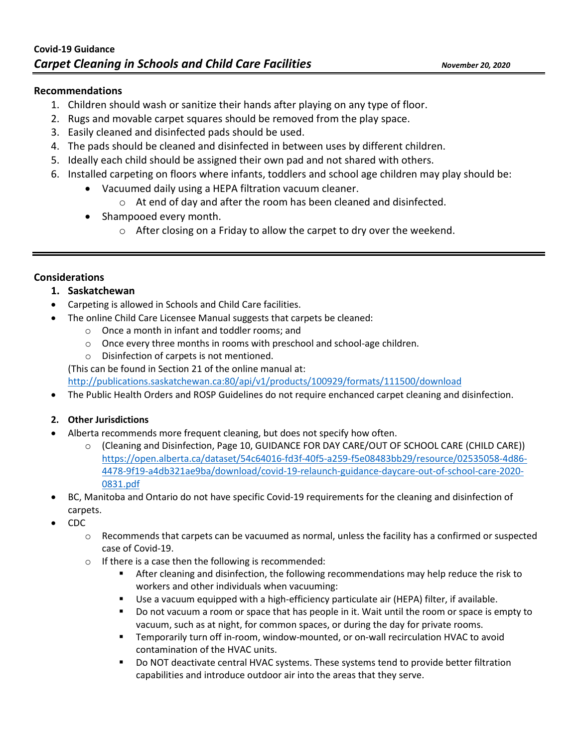# **Recommendations**

- 1. Children should wash or sanitize their hands after playing on any type of floor.
- 2. Rugs and movable carpet squares should be removed from the play space.
- 3. Easily cleaned and disinfected pads should be used.
- 4. The pads should be cleaned and disinfected in between uses by different children.
- 5. Ideally each child should be assigned their own pad and not shared with others.
- 6. Installed carpeting on floors where infants, toddlers and school age children may play should be:
	- Vacuumed daily using a HEPA filtration vacuum cleaner.
		- o At end of day and after the room has been cleaned and disinfected.
	- Shampooed every month.
		- o After closing on a Friday to allow the carpet to dry over the weekend.

# **Considerations**

# **1. Saskatchewan**

- Carpeting is allowed in Schools and Child Care facilities.
- The online Child Care Licensee Manual suggests that carpets be cleaned:
	- o Once a month in infant and toddler rooms; and
	- o Once every three months in rooms with preschool and school-age children.
	- o Disinfection of carpets is not mentioned.

(This can be found in Section 21 of the online manual at:

[http://publications.saskatchewan.ca:80/api/v1/products/100929/formats/111500/download](http://publications.saskatchewan.ca/api/v1/products/100929/formats/111500/download)

• The Public Health Orders and ROSP Guidelines do not require enchanced carpet cleaning and disinfection.

# **2. Other Jurisdictions**

- Alberta recommends more frequent cleaning, but does not specify how often.
	- o (Cleaning and Disinfection, Page 10, GUIDANCE FOR DAY CARE/OUT OF SCHOOL CARE (CHILD CARE)) [https://open.alberta.ca/dataset/54c64016-fd3f-40f5-a259-f5e08483bb29/resource/02535058-4d86-](https://open.alberta.ca/dataset/54c64016-fd3f-40f5-a259-f5e08483bb29/resource/02535058-4d86-4478-9f19-a4db321ae9ba/download/covid-19-relaunch-guidance-daycare-out-of-school-care-2020-0831.pdf) [4478-9f19-a4db321ae9ba/download/covid-19-relaunch-guidance-daycare-out-of-school-care-2020-](https://open.alberta.ca/dataset/54c64016-fd3f-40f5-a259-f5e08483bb29/resource/02535058-4d86-4478-9f19-a4db321ae9ba/download/covid-19-relaunch-guidance-daycare-out-of-school-care-2020-0831.pdf) [0831.pdf](https://open.alberta.ca/dataset/54c64016-fd3f-40f5-a259-f5e08483bb29/resource/02535058-4d86-4478-9f19-a4db321ae9ba/download/covid-19-relaunch-guidance-daycare-out-of-school-care-2020-0831.pdf)
- BC, Manitoba and Ontario do not have specific Covid-19 requirements for the cleaning and disinfection of carpets.
- CDC
	- $\circ$  Recommends that carpets can be vacuumed as normal, unless the facility has a confirmed or suspected case of Covid-19.
	- o If there is a case then the following is recommended:
		- **After cleaning and disinfection, the following recommendations may help reduce the risk to** workers and other individuals when vacuuming:
		- Use a vacuum equipped with a high-efficiency particulate air (HEPA) filter, if available.
		- Do not vacuum a room or space that has people in it. Wait until the room or space is empty to vacuum, such as at night, for common spaces, or during the day for private rooms.
		- Temporarily turn off in-room, window-mounted, or on-wall recirculation HVAC to avoid contamination of the HVAC units.
		- **DO NOT deactivate central HVAC systems. These systems tend to provide better filtration** capabilities and introduce outdoor air into the areas that they serve.